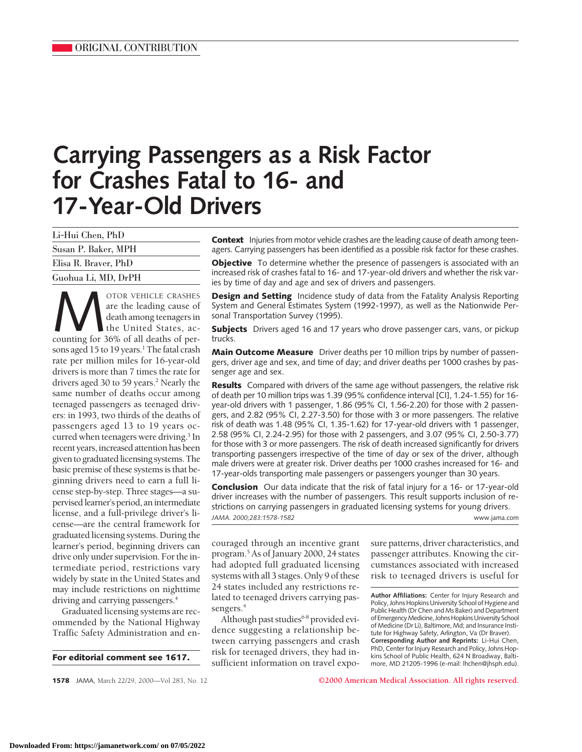# **Carrying Passengers as a Risk Factor for Crashes Fatal to 16- and 17-Year-Old Drivers**

| Li-Hui Chen, PhD     |
|----------------------|
| Susan P. Baker, MPH  |
| Elisa R. Braver, PhD |
| Guohua Li, MD, DrPH  |

**MURN** OTOR VEHICLE CRASHES<br>
are the leading cause of<br>
death among teenagers in<br>
the United States, ac-<br>
counting for 36% of all deaths of perare the leading cause of death among teenagers in the United States, acsons aged 15 to 19 years.<sup>1</sup> The fatal crash rate per million miles for 16-year-old drivers is more than 7 times the rate for drivers aged 30 to 59 years.<sup>2</sup> Nearly the same number of deaths occur among teenaged passengers as teenaged drivers: in 1993, two thirds of the deaths of passengers aged 13 to 19 years occurred when teenagers were driving.<sup>3</sup> In recent years, increased attention has been given to graduated licensing systems. The basic premise of these systems is that beginning drivers need to earn a full license step-by-step. Three stages—a supervised learner's period, an intermediate license, and a full-privilege driver's license—are the central framework for graduated licensing systems. During the learner's period, beginning drivers can drive only under supervision. For the intermediate period, restrictions vary widely by state in the United States and may include restrictions on nighttime driving and carrying passengers.<sup>4</sup>

Graduated licensing systems are recommended by the National Highway Traffic Safety Administration and en-

**For editorial comment see 1617.**

**Context** Injuries from motor vehicle crashes are the leading cause of death among teenagers. Carrying passengers has been identified as a possible risk factor for these crashes.

**Objective** To determine whether the presence of passengers is associated with an increased risk of crashes fatal to 16- and 17-year-old drivers and whether the risk varies by time of day and age and sex of drivers and passengers.

**Design and Setting** Incidence study of data from the Fatality Analysis Reporting System and General Estimates System (1992-1997), as well as the Nationwide Personal Transportation Survey (1995).

**Subjects** Drivers aged 16 and 17 years who drove passenger cars, vans, or pickup trucks.

**Main Outcome Measure** Driver deaths per 10 million trips by number of passengers, driver age and sex, and time of day; and driver deaths per 1000 crashes by passenger age and sex.

**Results** Compared with drivers of the same age without passengers, the relative risk of death per 10 million trips was 1.39 (95% confidence interval [CI], 1.24-1.55) for 16 year-old drivers with 1 passenger, 1.86 (95% CI, 1.56-2.20) for those with 2 passengers, and 2.82 (95% CI, 2.27-3.50) for those with 3 or more passengers. The relative risk of death was 1.48 (95% CI, 1.35-1.62) for 17-year-old drivers with 1 passenger, 2.58 (95% CI, 2.24-2.95) for those with 2 passengers, and 3.07 (95% CI, 2.50-3.77) for those with 3 or more passengers. The risk of death increased significantly for drivers transporting passengers irrespective of the time of day or sex of the driver, although male drivers were at greater risk. Driver deaths per 1000 crashes increased for 16- and 17-year-olds transporting male passengers or passengers younger than 30 years.

**Conclusion** Our data indicate that the risk of fatal injury for a 16- or 17-year-old driver increases with the number of passengers. This result supports inclusion of restrictions on carrying passengers in graduated licensing systems for young drivers. *JAMA. 2000;283:1578-1582* www.jama.com

couraged through an incentive grant program.5 As of January 2000, 24 states had adopted full graduated licensing systems with all 3 stages. Only 9 of these 24 states included any restrictions related to teenaged drivers carrying passengers.<sup>4</sup>

Although past studies $6-8$  provided evidence suggesting a relationship between carrying passengers and crash risk for teenaged drivers, they had insufficient information on travel exposure patterns, driver characteristics, and passenger attributes. Knowing the circumstances associated with increased risk to teenaged drivers is useful for

**1578** JAMA, March 22/29, 2000—Vol 283, No. 12 **©2000 American Medical Association. All rights reserved.**

**Author Affiliations:** Center for Injury Research and Policy, Johns Hopkins University School of Hygiene and Public Health (Dr Chen and Ms Baker) and Department of Emergency Medicine, Johns Hopkins University School of Medicine (Dr Li), Baltimore, Md; and Insurance Institute for Highway Safety, Arlington, Va (Dr Braver). **Corresponding Author and Reprints:** Li-Hui Chen, PhD, Center for Injury Research and Policy, Johns Hopkins School of Public Health, 624 N Broadway, Baltimore, MD 21205-1996 (e-mail: lhchen@jhsph.edu).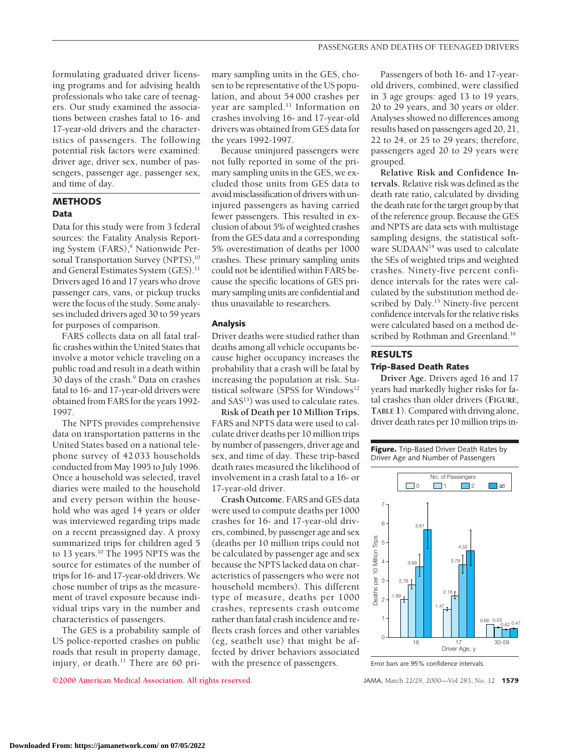formulating graduated driver licensing programs and for advising health professionals who take care of teenagers. Our study examined the associations between crashes fatal to 16- and 17-year-old drivers and the characteristics of passengers. The following potential risk factors were examined: driver age, driver sex, number of passengers, passenger age, passenger sex, and time of day.

### **METHODS Data**

Data for this study were from 3 federal sources: the Fatality Analysis Reporting System (FARS),<sup>9</sup> Nationwide Personal Transportation Survey (NPTS),<sup>10</sup> and General Estimates System (GES).<sup>11</sup> Drivers aged 16 and 17 years who drove passenger cars, vans, or pickup trucks were the focus of the study. Some analyses included drivers aged 30 to 59 years for purposes of comparison.

FARS collects data on all fatal traffic crashes within the United States that involve a motor vehicle traveling on a public road and result in a death within 30 days of the crash.9 Data on crashes fatal to 16- and 17-year-old drivers were obtained from FARS for the years 1992- 1997.

The NPTS provides comprehensive data on transportation patterns in the United States based on a national telephone survey of 42 033 households conducted from May 1995 to July 1996. Once a household was selected, travel diaries were mailed to the household and every person within the household who was aged 14 years or older was interviewed regarding trips made on a recent preassigned day. A proxy summarized trips for children aged 5 to 13 years.<sup>10</sup> The 1995 NPTS was the source for estimates of the number of trips for 16- and 17-year-old drivers. We chose number of trips as the measurement of travel exposure because individual trips vary in the number and characteristics of passengers.

The GES is a probability sample of US police-reported crashes on public roads that result in property damage, injury, or death. $11$  There are 60 primary sampling units in the GES, chosen to be representative of the US population, and about 54 000 crashes per year are sampled.<sup>11</sup> Information on crashes involving 16- and 17-year-old drivers was obtained from GES data for the years 1992-1997.

Because uninjured passengers were not fully reported in some of the primary sampling units in the GES, we excluded those units from GES data to avoid misclassification of drivers with uninjured passengers as having carried fewer passengers. This resulted in exclusion of about 5% of weighted crashes from the GES data and a corresponding 5% overestimation of deaths per 1000 crashes. These primary sampling units could not be identified within FARS because the specific locations of GES primary sampling units are confidential and thus unavailable to researchers.

#### **Analysis**

Driver deaths were studied rather than deaths among all vehicle occupants because higher occupancy increases the probability that a crash will be fatal by increasing the population at risk. Statistical software (SPSS for Windows<sup>12</sup> and SAS<sup>13</sup>) was used to calculate rates.

**Risk of Death per 10 Million Trips.** FARS and NPTS data were used to calculate driver deaths per 10 million trips by number of passengers, driver age and sex, and time of day. These trip-based death rates measured the likelihood of involvement in a crash fatal to a 16- or 17-year-old driver.

**Crash Outcome.** FARS and GES data were used to compute deaths per 1000 crashes for 16- and 17-year-old drivers, combined, by passenger age and sex (deaths per 10 million trips could not be calculated by passenger age and sex because the NPTS lacked data on characteristics of passengers who were not household members). This different type of measure, deaths per 1000 crashes, represents crash outcome rather than fatal crash incidence and reflects crash forces and other variables (eg, seatbelt use) that might be affected by driver behaviors associated with the presence of passengers.

Passengers of both 16- and 17-yearold drivers, combined, were classified in 3 age groups: aged 13 to 19 years, 20 to 29 years, and 30 years or older. Analyses showed no differences among results based on passengers aged 20, 21, 22 to 24, or 25 to 29 years; therefore, passengers aged 20 to 29 years were grouped.

**Relative Risk and Confidence Intervals.** Relative risk was defined as the death rate ratio, calculated by dividing the death rate for the target group by that of the reference group. Because the GES and NPTS are data sets with multistage sampling designs, the statistical software SUDAAN<sup>14</sup> was used to calculate the SEs of weighted trips and weighted crashes. Ninety-five percent confidence intervals for the rates were calculated by the substitution method described by Daly.15 Ninety-five percent confidence intervals for the relative risks were calculated based on a method described by Rothman and Greenland.<sup>16</sup>

# **RESULTS Trip-Based Death Rates**

**Driver Age.** Drivers aged 16 and 17 years had markedly higher risks for fatal crashes than older drivers (**FIGURE**, **TABLE 1**). Compared with driving alone, driver death rates per 10 million trips in-

**Figure.** Trip-Based Driver Death Rates by Driver Age and Number of Passengers



Error bars are 95% confidence intervals.

**©2000 American Medical Association. All rights reserved.** JAMA, March 22/29, 2000—Vol 283, No. 12 **1579**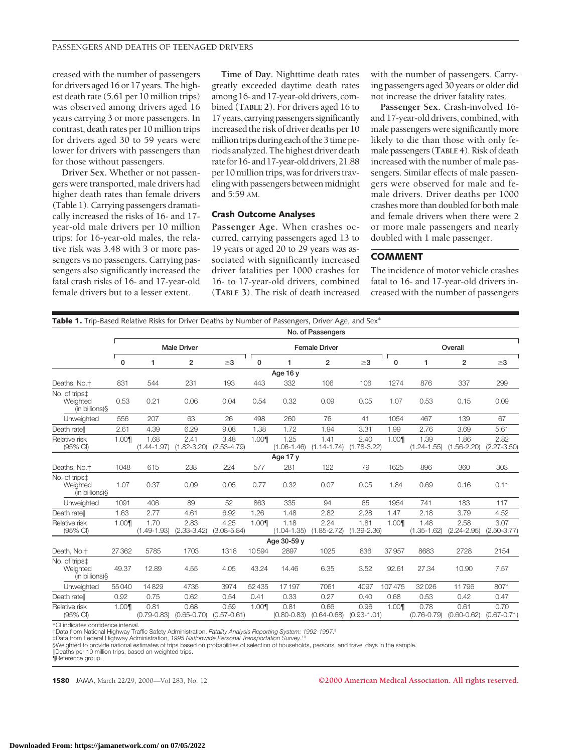creased with the number of passengers for drivers aged 16 or 17 years. The highest death rate (5.61 per 10 million trips) was observed among drivers aged 16 years carrying 3 or more passengers. In contrast, death rates per 10 million trips for drivers aged 30 to 59 years were lower for drivers with passengers than for those without passengers.

**Driver Sex.** Whether or not passengers were transported, male drivers had higher death rates than female drivers (Table 1). Carrying passengers dramatically increased the risks of 16- and 17 year-old male drivers per 10 million trips: for 16-year-old males, the relative risk was 3.48 with 3 or more passengers vs no passengers. Carrying passengers also significantly increased the fatal crash risks of 16- and 17-year-old female drivers but to a lesser extent.

**Time of Day.** Nighttime death rates greatly exceeded daytime death rates among 16- and 17-year-old drivers, combined (**TABLE 2**). For drivers aged 16 to 17years,carryingpassengerssignificantly increased the risk of driver deaths per 10 million trips during each of the 3 time periods analyzed. The highest driver death ratefor16-and17-year-olddrivers,21.88 per 10 million trips, was for drivers traveling with passengers between midnight and 5:59 AM.

#### **Crash Outcome Analyses**

**Passenger Age.** When crashes occurred, carrying passengers aged 13 to 19 years or aged 20 to 29 years was associated with significantly increased driver fatalities per 1000 crashes for 16- to 17-year-old drivers, combined (**TABLE 3**). The risk of death increased with the number of passengers. Carrying passengers aged 30 years or older did not increase the driver fatality rates.

**Passenger Sex.** Crash-involved 16 and 17-year-old drivers, combined, with male passengers were significantly more likely to die than those with only female passengers (**TABLE 4**). Risk of death increased with the number of male passengers. Similar effects of male passengers were observed for male and female drivers. Driver deaths per 1000 crashes more than doubled for both male and female drivers when there were 2 or more male passengers and nearly doubled with 1 male passenger.

## **COMMENT**

The incidence of motor vehicle crashes fatal to 16- and 17-year-old drivers increased with the number of passengers

| <b>Table 1.</b> Trip-Based Relative Risks for Driver Deaths by Number of Passengers, Driver Age, and Sex <sup>*</sup> |          |                         |                         |                         |       |                         |                         |                         |         |                         |                         |                         |
|-----------------------------------------------------------------------------------------------------------------------|----------|-------------------------|-------------------------|-------------------------|-------|-------------------------|-------------------------|-------------------------|---------|-------------------------|-------------------------|-------------------------|
|                                                                                                                       |          | No. of Passengers       |                         |                         |       |                         |                         |                         |         |                         |                         |                         |
|                                                                                                                       |          | <b>Male Driver</b>      |                         |                         |       | <b>Female Driver</b>    |                         |                         | Overall |                         |                         |                         |
|                                                                                                                       | 0        | 1                       | $\overline{c}$          | $\geq$ 3                | 0     | 1                       | $\overline{2}$          | $\geq 3$                | 0       | 1                       | $\overline{c}$          | $\geq 3$                |
|                                                                                                                       | Age 16 y |                         |                         |                         |       |                         |                         |                         |         |                         |                         |                         |
| Deaths, No. <sup>+</sup>                                                                                              | 831      | 544                     | 231                     | 193                     | 443   | 332                     | 106                     | 106                     | 1274    | 876                     | 337                     | 299                     |
| No. of tripst<br>Weighted<br>(in billions)\$                                                                          | 0.53     | 0.21                    | 0.06                    | 0.04                    | 0.54  | 0.32                    | 0.09                    | 0.05                    | 1.07    | 0.53                    | 0.15                    | 0.09                    |
| Unweighted                                                                                                            | 556      | 207                     | 63                      | 26                      | 498   | 260                     | 76                      | 41                      | 1054    | 467                     | 139                     | 67                      |
| Death ratell                                                                                                          | 2.61     | 4.39                    | 6.29                    | 9.08                    | 1.38  | 1.72                    | 1.94                    | 3.31                    | 1.99    | 2.76                    | 3.69                    | 5.61                    |
| Relative risk<br>(95% CI)                                                                                             | 1.00¶    | 1.68<br>$(1.44 - 1.97)$ | 2.41<br>$(1.82 - 3.20)$ | 3.48<br>$(2.53 - 4.79)$ | 1.00¶ | 1.25<br>$(1.06 - 1.46)$ | 1.41<br>$(1.14 - 1.74)$ | 2.40<br>$(1.78 - 3.22)$ | 1.00¶   | 1.39<br>$(1.24 - 1.55)$ | 1.86<br>$(1.56 - 2.20)$ | 2.82<br>$(2.27 - 3.50)$ |
|                                                                                                                       |          |                         |                         |                         |       | Age 17 y                |                         |                         |         |                         |                         |                         |
| Deaths, No. <sup>+</sup>                                                                                              | 1048     | 615                     | 238                     | 224                     | 577   | 281                     | 122                     | 79                      | 1625    | 896                     | 360                     | 303                     |
| No. of trips‡<br>Weighted<br>(in billions)\$                                                                          | 1.07     | 0.37                    | 0.09                    | 0.05                    | 0.77  | 0.32                    | 0.07                    | 0.05                    | 1.84    | 0.69                    | 0.16                    | 0.11                    |
| Unweighted                                                                                                            | 1091     | 406                     | 89                      | 52                      | 863   | 335                     | 94                      | 65                      | 1954    | 741                     | 183                     | 117                     |
| Death ratell                                                                                                          | 1.63     | 2.77                    | 4.61                    | 6.92                    | 1.26  | 1.48                    | 2.82                    | 2.28                    | 1.47    | 2.18                    | 3.79                    | 4.52                    |
| Relative risk<br>(95% CI)                                                                                             | 1.00     | 1.70<br>$(1.49 - 1.93)$ | 2.83<br>$(2.33 - 3.42)$ | 4.25<br>$(3.08 - 5.84)$ | 1.00¶ | 1.18<br>$(1.04 - 1.35)$ | 2.24<br>$(1.85 - 2.72)$ | 1.81<br>$(1.39 - 2.36)$ | 1.00¶   | 1.48<br>$(1.35 - 1.62)$ | 2.58<br>$(2.24 - 2.95)$ | 3.07<br>$(2.50 - 3.77)$ |
| Age 30-59 y                                                                                                           |          |                         |                         |                         |       |                         |                         |                         |         |                         |                         |                         |
| Death, No. <sup>+</sup>                                                                                               | 27362    | 5785                    | 1703                    | 1318                    | 10594 | 2897                    | 1025                    | 836                     | 37957   | 8683                    | 2728                    | 2154                    |
| No. of trips‡<br>Weighted<br>(in billions)\$                                                                          | 49.37    | 12.89                   | 4.55                    | 4.05                    | 43.24 | 14.46                   | 6.35                    | 3.52                    | 92.61   | 27.34                   | 10.90                   | 7.57                    |
| Unweighted                                                                                                            | 55040    | 14829                   | 4735                    | 3974                    | 52435 | 17197                   | 7061                    | 4097                    | 107475  | 32026                   | 11796                   | 8071                    |
| Death ratell                                                                                                          | 0.92     | 0.75                    | 0.62                    | 0.54                    | 0.41  | 0.33                    | 0.27                    | 0.40                    | 0.68    | 0.53                    | 0.42                    | 0.47                    |
| Relative risk<br>(95% CI)                                                                                             | 1.00     | 0.81<br>$(0.79 - 0.83)$ | 0.68<br>$(0.65 - 0.70)$ | 0.59<br>$(0.57 - 0.61)$ | 1.00¶ | 0.81<br>$(0.80 - 0.83)$ | 0.66<br>$(0.64 - 0.68)$ | 0.96<br>$(0.93 - 1.01)$ | 1.00¶   | 0.78<br>$(0.76 - 0.79)$ | 0.61<br>$(0.60 - 0.62)$ | 0.70<br>$(0.67 - 0.71)$ |

\*CI indicates confidence interval.

†Data from National Highway Traffic Safety Administration, *Fatality Analysis Reporting System: 1992-1997*. 9

‡Data from Federal Highway Administration, *1995 Nationwide Personal Transportation Survey*.<sup>10</sup><br>§Weighted to provide national estimates of trips based on probabilities of selection of households, persons, and travel days \Deaths per 10 million trips, based on weighted trips.

¶Reference group.

**1580** JAMA, March 22/29, 2000—Vol 283, No. 12 **©2000 American Medical Association. All rights reserved.**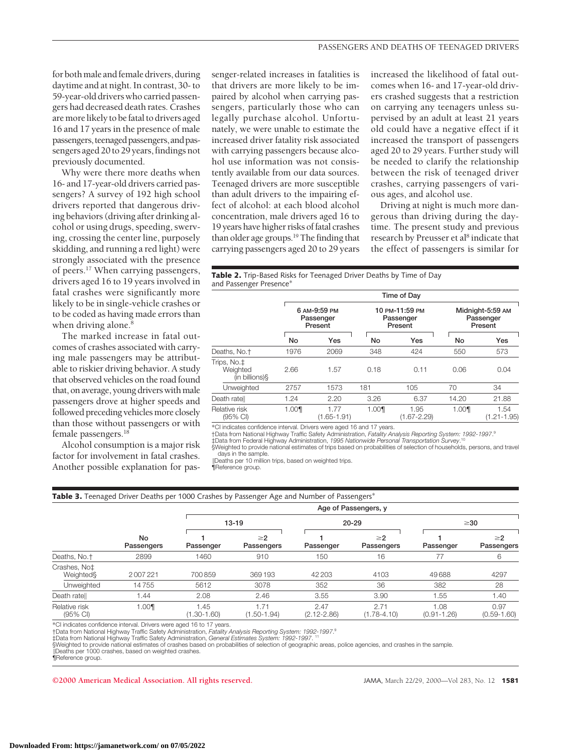for both male and female drivers, during daytime and at night. In contrast, 30- to 59-year-old drivers who carried passengers had decreased death rates. Crashes are more likely to be fatal to drivers aged 16 and 17 years in the presence of male passengers, teenaged passengers, and passengers aged 20 to 29 years, findings not previously documented.

Why were there more deaths when 16- and 17-year-old drivers carried passengers? A survey of 192 high school drivers reported that dangerous driving behaviors (driving after drinking alcohol or using drugs, speeding, swerving, crossing the center line, purposely skidding, and running a red light) were strongly associated with the presence of peers.<sup>17</sup> When carrying passengers, drivers aged 16 to 19 years involved in fatal crashes were significantly more likely to be in single-vehicle crashes or to be coded as having made errors than when driving alone. $\frac{8}{3}$ 

The marked increase in fatal outcomes of crashes associated with carrying male passengers may be attributable to riskier driving behavior. A study that observed vehicles on the road found that, on average, young drivers with male passengers drove at higher speeds and followed preceding vehicles more closely than those without passengers or with female passengers.<sup>18</sup>

Alcohol consumption is a major risk factor for involvement in fatal crashes. Another possible explanation for passenger-related increases in fatalities is that drivers are more likely to be impaired by alcohol when carrying passengers, particularly those who can legally purchase alcohol. Unfortunately, we were unable to estimate the increased driver fatality risk associated with carrying passengers because alcohol use information was not consistently available from our data sources. Teenaged drivers are more susceptible than adult drivers to the impairing effect of alcohol: at each blood alcohol concentration, male drivers aged 16 to 19 years have higher risks of fatal crashes than older age groups.19 The finding that carrying passengers aged 20 to 29 years increased the likelihood of fatal outcomes when 16- and 17-year-old drivers crashed suggests that a restriction on carrying any teenagers unless supervised by an adult at least 21 years old could have a negative effect if it increased the transport of passengers aged 20 to 29 years. Further study will be needed to clarify the relationship between the risk of teenaged driver crashes, carrying passengers of various ages, and alcohol use.

Driving at night is much more dangerous than driving during the daytime. The present study and previous research by Preusser et al<sup>8</sup> indicate that the effect of passengers is similar for

#### **Table 2.** Trip-Based Risks for Teenaged Driver Deaths by Time of Day and Passenger Presence\*

|                                           |      | Time of Day                          |      |                                        |                                          |                         |  |  |  |  |  |
|-------------------------------------------|------|--------------------------------------|------|----------------------------------------|------------------------------------------|-------------------------|--|--|--|--|--|
|                                           |      | 6 AM-9:59 PM<br>Passenger<br>Present |      | 10 PM-11:59 PM<br>Passenger<br>Present | Midnight-5:59 AM<br>Passenger<br>Present |                         |  |  |  |  |  |
|                                           | No   | Yes                                  | No   | Yes                                    | No                                       | Yes                     |  |  |  |  |  |
| Deaths, No.†                              | 1976 | 2069                                 | 348  | 424                                    | 550                                      | 573                     |  |  |  |  |  |
| Trips, No.‡<br>Weighted<br>(in billions)§ | 2.66 | 1.57                                 | 0.18 | 0.11                                   | 0.06                                     | 0.04                    |  |  |  |  |  |
| Unweighted                                | 2757 | 1573                                 | 181  | 105                                    | 70                                       | 34                      |  |  |  |  |  |
| Death ratell                              | 1.24 | 2.20                                 | 3.26 | 6.37                                   | 14.20                                    | 21.88                   |  |  |  |  |  |
| Relative risk<br>(95% CI)                 | 1.00 | 1.77<br>$(1.65 - 1.91)$              | 1.00 | 1.95<br>$(1.67 - 2.29)$                | 1.00                                     | 1.54<br>$(1.21 - 1.95)$ |  |  |  |  |  |

\*CI indicates confidence interval. Drivers were aged 16 and 17 years.

†Data from National Highway Traffic Safety Administration, *Fatality Analysis Reporting System: 1992-1997*. 9

‡Data from Federal Highway Administration, *1995 Nationwide Personal Transportation Survey*. 10 §Weighted to provide national estimates of trips based on probabilities of selection of households, persons, and travel days in the sample.

|Deaths per 10 million trips, based on weighted trips.

¶Reference group.

|  | Table 3. Teenaged Driver Deaths per 1000 Crashes by Passenger Age and Number of Passengers* |  |
|--|---------------------------------------------------------------------------------------------|--|
|--|---------------------------------------------------------------------------------------------|--|

|                           |                  | Age of Passengers, y   |                        |                         |                         |                         |                         |  |  |  |
|---------------------------|------------------|------------------------|------------------------|-------------------------|-------------------------|-------------------------|-------------------------|--|--|--|
|                           | No<br>Passengers |                        | $13 - 19$              |                         | $20 - 29$               | $\geq$ 30               |                         |  |  |  |
|                           |                  | Passenger              | $\geq$ 2<br>Passengers | Passenger               | $\geq$ 2<br>Passengers  | Passenger               | $\geq$ 2<br>Passengers  |  |  |  |
| Deaths, No. <sup>+</sup>  | 2899             | 1460                   | 910                    | 150                     | 16                      | 77                      | 6                       |  |  |  |
| Crashes, No‡<br>Weighted  | 2007221          | 700859                 | 369193                 | 42 203                  | 4103                    | 49688                   | 4297                    |  |  |  |
| Unweighted                | 14755            | 5612                   | 3078                   | 352                     | 36                      | 382                     | 28                      |  |  |  |
| Death ratell              | 1.44             | 2.08                   | 2.46                   | 3.55                    | 3.90                    | 1.55                    | 1.40                    |  |  |  |
| Relative risk<br>(95% CI) | 1.00             | .45<br>$(1.30 - 1.60)$ | .71<br>$(1.50 - 1.94)$ | 2.47<br>$(2.12 - 2.86)$ | 2.71<br>$(1.78 - 4.10)$ | 1.08<br>$(0.91 - 1.26)$ | 0.97<br>$(0.59 - 1.60)$ |  |  |  |

\*CI indicates confidence interval. Drivers were aged 16 to 17 years.

†Data from National Highway Traffic Safety Administration, *Fatality Analysis Reporting System: 1992-1997.º*<br>‡Data from National Highway Traffic Safety Administration, General Estimates System: 1992-1997. <sup>11</sup><br>§Weighted to \Deaths per 1000 crashes, based on weighted crashes.

¶Reference group.

**©2000 American Medical Association. All rights reserved.** JAMA, March 22/29, 2000—Vol 283, No. 12 **1581**